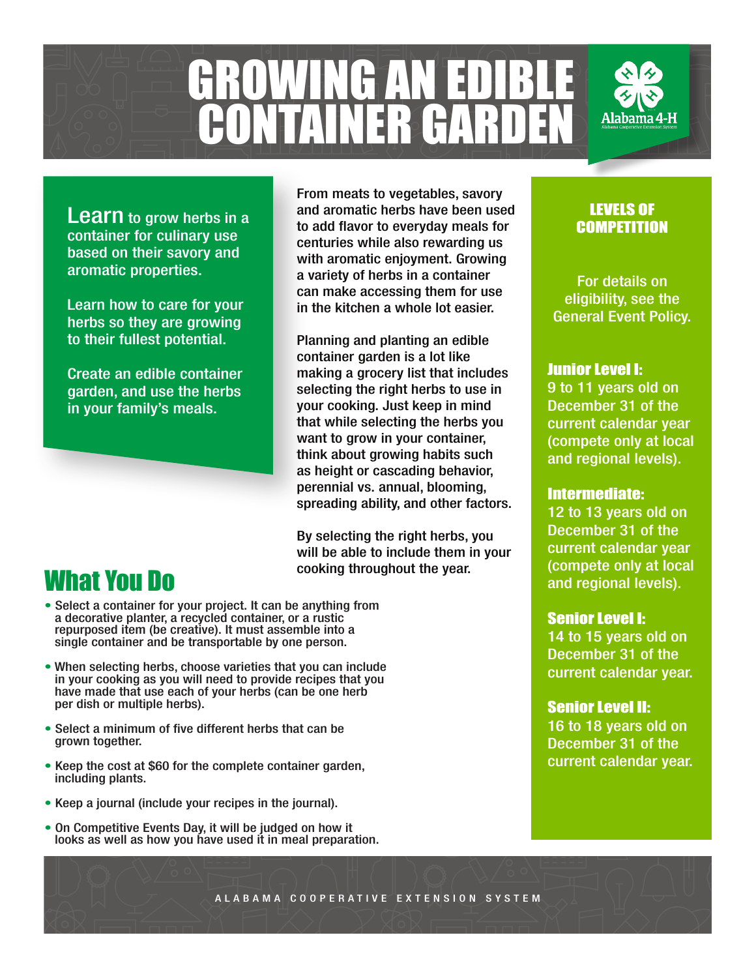

**Learn** to grow herbs in a container for culinary use based on their savory and aromatic properties.

Learn how to care for your herbs so they are growing to their fullest potential.

Create an edible container garden, and use the herbs in your family's meals.

## What You Do

- Select a container for your project. It can be anything from a decorative planter, a recycled container, or a rustic repurposed item (be creative). It must assemble into a single container and be transportable by one person.
- When selecting herbs, choose varieties that you can include in your cooking as you will need to provide recipes that you have made that use each of your herbs (can be one herb per dish or multiple herbs).
- Select a minimum of five different herbs that can be grown together.
- Keep the cost at \$60 for the complete container garden, including plants.
- Keep a journal (include your recipes in the journal).
- On Competitive Events Day, it will be judged on how it looks as well as how you have used it in meal preparation.

From meats to vegetables, savory and aromatic herbs have been used to add flavor to everyday meals for centuries while also rewarding us with aromatic enjoyment. Growing a variety of herbs in a container can make accessing them for use in the kitchen a whole lot easier.

Planning and planting an edible container garden is a lot like making a grocery list that includes selecting the right herbs to use in your cooking. Just keep in mind that while selecting the herbs you want to grow in your container, think about growing habits such as height or cascading behavior, perennial vs. annual, blooming, spreading ability, and other factors.

By selecting the right herbs, you will be able to include them in your cooking throughout the year.

### LEVELS OF **COMPETITION**

For details on eligibility, see the General Event Policy.

### Junior Level I:

9 to 11 years old on December 31 of the current calendar year (compete only at local and regional levels).

#### Intermediate:

12 to 13 years old on December 31 of the current calendar year (compete only at local and regional levels).

#### Senior Level I:

14 to 15 years old on December 31 of the current calendar year.

#### Senior Level II:

16 to 18 years old on December 31 of the current calendar year.

ALABAMA COOPERATIVE EXTENSION SYSTEM